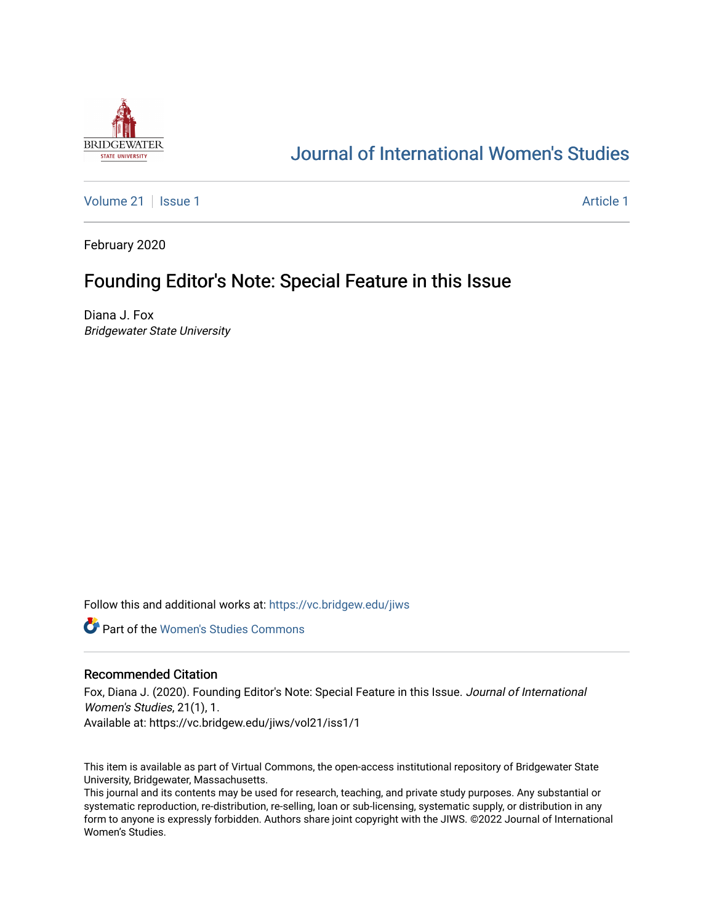

## [Journal of International Women's Studies](https://vc.bridgew.edu/jiws)

[Volume 21](https://vc.bridgew.edu/jiws/vol21) | [Issue 1](https://vc.bridgew.edu/jiws/vol21/iss1) [Article 1](https://vc.bridgew.edu/jiws/vol21/iss1/1) Article 1 Article 1 Article 1 Article 1 Article 1 Article 1 Article 1 Article 1

February 2020

# Founding Editor's Note: Special Feature in this Issue

Diana J. Fox Bridgewater State University

Follow this and additional works at: [https://vc.bridgew.edu/jiws](https://vc.bridgew.edu/jiws?utm_source=vc.bridgew.edu%2Fjiws%2Fvol21%2Fiss1%2F1&utm_medium=PDF&utm_campaign=PDFCoverPages)

**C** Part of the Women's Studies Commons

### Recommended Citation

Fox, Diana J. (2020). Founding Editor's Note: Special Feature in this Issue. Journal of International Women's Studies, 21(1), 1. Available at: https://vc.bridgew.edu/jiws/vol21/iss1/1

This item is available as part of Virtual Commons, the open-access institutional repository of Bridgewater State University, Bridgewater, Massachusetts.

This journal and its contents may be used for research, teaching, and private study purposes. Any substantial or systematic reproduction, re-distribution, re-selling, loan or sub-licensing, systematic supply, or distribution in any form to anyone is expressly forbidden. Authors share joint copyright with the JIWS. ©2022 Journal of International Women's Studies.